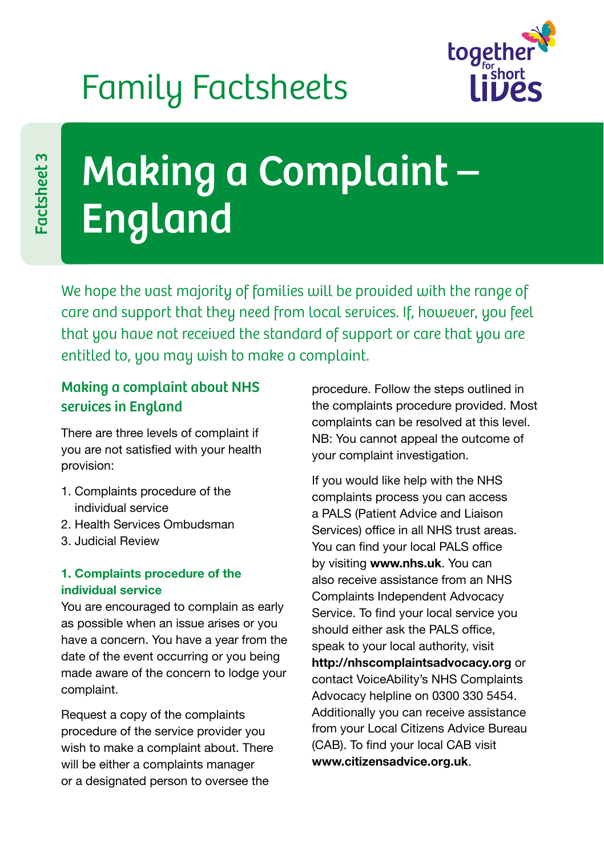## Family Factsheets



# Making a Complaint – England

We hope the vast majority of families will be provided with the range of care and support that they need from local services. If, however, you feel that you have not received the standard of support or care that you are entitled to, you may wish to make a complaint.

## Making a complaint about NHS services in England

There are three levels of complaint if you are not satisfied with your health provision:

- 1. Complaints procedure of the individual service
- 2. Health Services Ombudsman
- 3. Judicial Review

#### **1. Complaints procedure of the individual service**

You are encouraged to complain as early as possible when an issue arises or you have a concern. You have a year from the date of the event occurring or you being made aware of the concern to lodge your complaint.

Request a copy of the complaints procedure of the service provider you wish to make a complaint about. There will be either a complaints manager or a designated person to oversee the

procedure. Follow the steps outlined in the complaints procedure provided. Most complaints can be resolved at this level. NB: You cannot appeal the outcome of your complaint investigation.

If you would like help with the NHS complaints process you can access a PALS (Patient Advice and Liaison Services) office in all NHS trust areas. You can find your local PALS office by visiting **www.nhs.uk**. You can also receive assistance from an NHS Complaints Independent Advocacy Service. To find your local service you should either ask the PALS office, speak to your local authority, visit **http://nhscomplaintsadvocacy.org** or contact VoiceAbility's NHS Complaints Advocacy helpline on 0300 330 5454. Additionally you can receive assistance from your Local Citizens Advice Bureau (CAB). To find your local CAB visit **www.citizensadvice.org.uk**.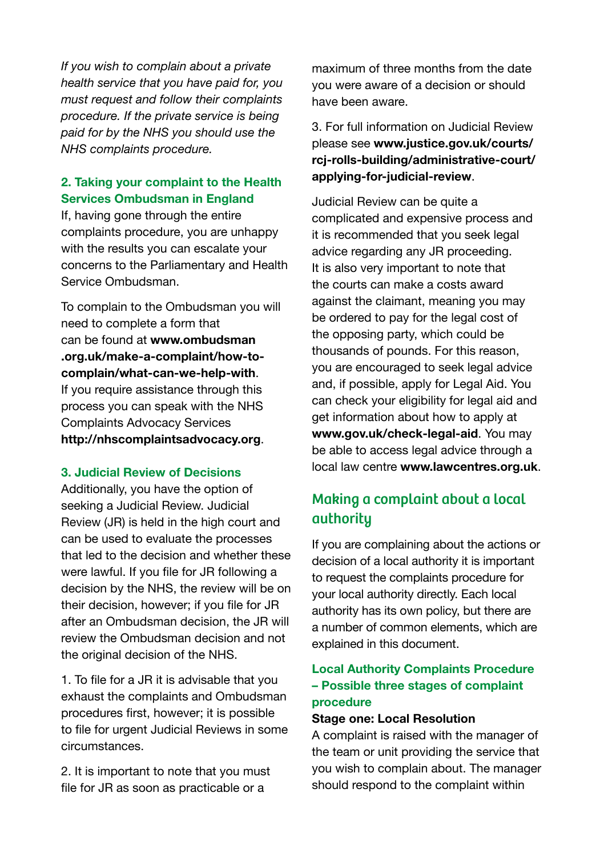*If you wish to complain about a private health service that you have paid for, you must request and follow their complaints procedure. If the private service is being paid for by the NHS you should use the NHS complaints procedure.*

#### **2. Taking your complaint to the Health Services Ombudsman in England**

If, having gone through the entire complaints procedure, you are unhappy with the results you can escalate your concerns to the Parliamentary and Health Service Ombudsman.

To complain to the Ombudsman you will need to complete a form that can be found at **[www.ombudsman](http://www.ombudsman.org.uk/make-a-complaint/how-to-complain/what-can-we-help-with) [.org.uk/make-a-complaint/how-to](http://www.ombudsman.org.uk/make-a-complaint/how-to-complain/what-can-we-help-with)[complain/what-can-we-help-with](http://www.ombudsman.org.uk/make-a-complaint/how-to-complain/what-can-we-help-with)**. If you require assistance through this process you can speak with the NHS Complaints Advocacy Services **http://nhscomplaintsadvocacy.org**.

#### **3. Judicial Review of Decisions**

Additionally, you have the option of seeking a Judicial Review. Judicial Review (JR) is held in the high court and can be used to evaluate the processes that led to the decision and whether these were lawful. If you file for JR following a decision by the NHS, the review will be on their decision, however; if you file for JR after an Ombudsman decision, the JR will review the Ombudsman decision and not the original decision of the NHS.

1. To file for a JR it is advisable that you exhaust the complaints and Ombudsman procedures first, however; it is possible to file for urgent Judicial Reviews in some circumstances.

2. It is important to note that you must file for JR as soon as practicable or a

maximum of three months from the date you were aware of a decision or should have been aware.

3. For full information on Judicial Review please see **[www.justice.gov.uk/courts/](http://www.justice.gov.uk/courts/rcj-rolls-building/administrative-court/applying-for-judicial-review) [rcj-rolls-building/administrative-court/](http://www.justice.gov.uk/courts/rcj-rolls-building/administrative-court/applying-for-judicial-review) [applying-for-judicial-review](http://www.justice.gov.uk/courts/rcj-rolls-building/administrative-court/applying-for-judicial-review)**.

Judicial Review can be quite a complicated and expensive process and it is recommended that you seek legal advice regarding any JR proceeding. It is also very important to note that the courts can make a costs award against the claimant, meaning you may be ordered to pay for the legal cost of the opposing party, which could be thousands of pounds. For this reason, you are encouraged to seek legal advice and, if possible, apply for Legal Aid. You can check your eligibility for legal aid and get information about how to apply at **www.gov.uk/check-legal-aid**. You may be able to access legal advice through a local law centre **www.lawcentres.org.uk**.

## Making a complaint about a local authority

If you are complaining about the actions or decision of a local authority it is important to request the complaints procedure for your local authority directly. Each local authority has its own policy, but there are a number of common elements, which are explained in this document.

#### **Local Authority Complaints Procedure – Possible three stages of complaint procedure**

#### **Stage one: Local Resolution**

A complaint is raised with the manager of the team or unit providing the service that you wish to complain about. The manager should respond to the complaint within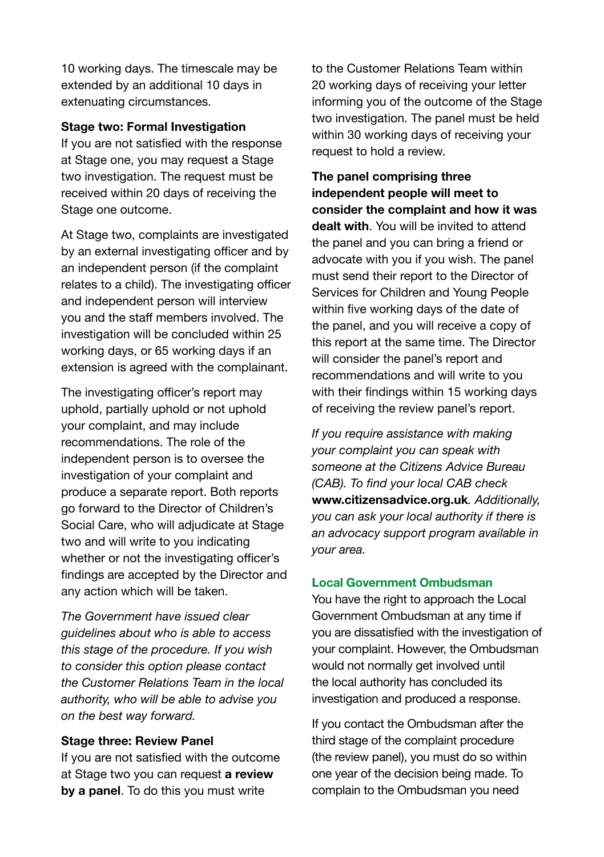10 working days. The timescale may be extended by an additional 10 days in extenuating circumstances.

#### **Stage two: Formal Investigation**

If you are not satisfied with the response at Stage one, you may request a Stage two investigation. The request must be received within 20 days of receiving the Stage one outcome.

At Stage two, complaints are investigated by an external investigating officer and by an independent person (if the complaint relates to a child). The investigating officer and independent person will interview you and the staff members involved. The investigation will be concluded within 25 working days, or 65 working days if an extension is agreed with the complainant.

The investigating officer's report may uphold, partially uphold or not uphold your complaint, and may include recommendations. The role of the independent person is to oversee the investigation of your complaint and produce a separate report. Both reports go forward to the Director of Children's Social Care, who will adjudicate at Stage two and will write to you indicating whether or not the investigating officer's findings are accepted by the Director and any action which will be taken.

*The Government have issued clear guidelines about who is able to access this stage of the procedure. If you wish to consider this option please contact the Customer Relations Team in the local authority, who will be able to advise you on the best way forward.*

#### **Stage three: Review Panel**

If you are not satisfied with the outcome at Stage two you can request **a review by a panel**. To do this you must write

to the Customer Relations Team within 20 working days of receiving your letter informing you of the outcome of the Stage two investigation. The panel must be held within 30 working days of receiving your request to hold a review.

**The panel comprising three independent people will meet to consider the complaint and how it was dealt with**. You will be invited to attend the panel and you can bring a friend or advocate with you if you wish. The panel must send their report to the Director of Services for Children and Young People within five working days of the date of the panel, and you will receive a copy of this report at the same time. The Director will consider the panel's report and recommendations and will write to you with their findings within 15 working days of receiving the review panel's report.

*If you require assistance with making your complaint you can speak with someone at the Citizens Advice Bureau (CAB). To find your local CAB check*  **www.citizensadvice.org.uk***. Additionally, you can ask your local authority if there is an advocacy support program available in your area.* 

#### **Local Government Ombudsman**

You have the right to approach the Local Government Ombudsman at any time if you are dissatisfied with the investigation of your complaint. However, the Ombudsman would not normally get involved until the local authority has concluded its investigation and produced a response.

If you contact the Ombudsman after the third stage of the complaint procedure (the review panel), you must do so within one year of the decision being made. To complain to the Ombudsman you need